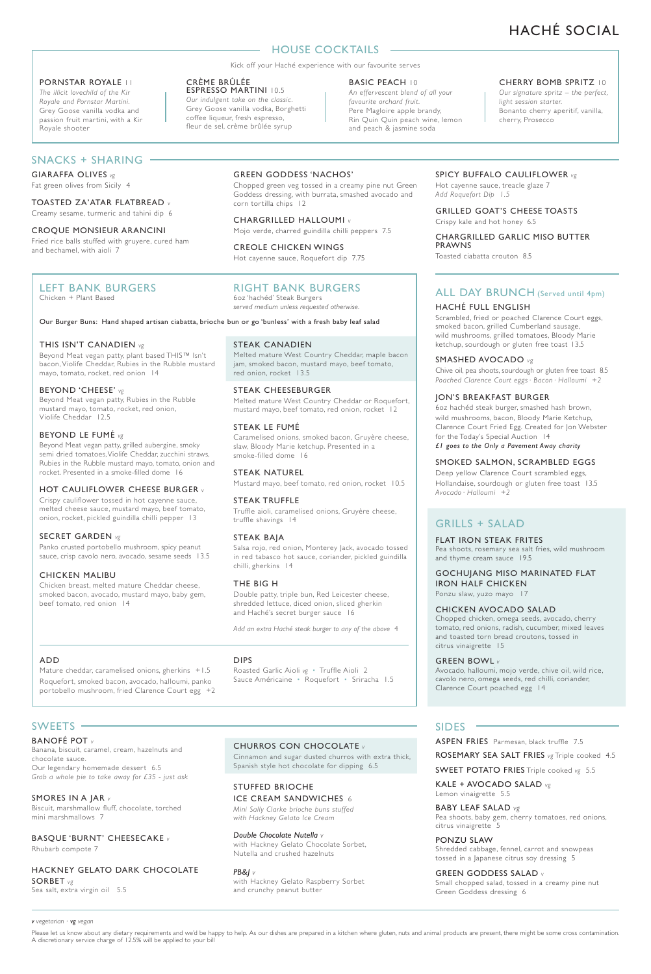# HACHÉ SOCIAL

## **HOUSE COCKTAILS**

Kick off your Haché experience with our favourite serves

## PORNSTAR ROYALE 11

*The illicit lovechild of the Kir Royale and Pornstar Martini.* Grey Goose vanilla vodka and passion fruit martini, with a Kir Royale shooter

## SNACKS + SHARING

GIARAFFA OLIVES *vg*

Fat green olives from Sicily 4

TOASTED ZA'ATAR FLATBREAD *v* Creamy sesame, turmeric and tahini dip 6

## CROQUE MONSIEUR ARANCINI Fried rice balls stuffed with gruyere, cured ham and bechamel, with aioli 7

## LEFT BANK BURGERS Chicken + Plant Based

Our Burger Buns: Hand shaped artisan ciabatta, brioche bun or go 'bunless' with a fresh baby leaf salad

CRÈME BRÛLÉE

ESPRESSO MARTINI 10.5 *Our indulgent take on the classic.* Grey Goose vanilla vodka, Borghetti coffee liqueur, fresh espresso, fleur de sel, crème brûlée syrup

#### THIS ISN'T CANADIEN *vg*

Beyond Meat vegan patty, plant based THIS™ Isn't bacon, Violife Cheddar, Rubies in the Rubble mustard mayo, tomato, rocket, red onion 14

#### BEYOND 'CHEESE' *vg*

Beyond Meat vegan patty, Rubies in the Rubble mustard mayo, tomato, rocket, red onion, Violife Cheddar 12.5

## BEYOND LE FUMÉ *vg*

Beyond Meat vegan patty, grilled aubergine, smoky semi dried tomatoes, Violife Cheddar, zucchini straws, Rubies in the Rubble mustard mayo, tomato, onion and rocket. Presented in a smoke-filled dome 16

#### HOT CAULIFLOWER CHEESE BURGER *v*

Crispy cauliflower tossed in hot cayenne sauce, melted cheese sauce, mustard mayo, beef tomato, onion, rocket, pickled guindilla chilli pepper 13

## SECRET GARDEN *vg*

Panko crusted portobello mushroom, spicy peanut sauce, crisp cavolo nero, avocado, sesame seeds 13.5

## CHICKEN MALIBU

Chicken breast, melted mature Cheddar cheese, smoked bacon, avocado, mustard mayo, baby gem, beef tomato, red onion 14

## GREEN GODDESS 'NACHOS'

Chopped green veg tossed in a creamy pine nut Green Goddess dressing, with burrata, smashed avocado and corn tor tilla chips 12

CHARGRILLED HALLOUMI *v* Mojo verde, charred guindilla chilli peppers 7.5

CREOLE CHICKEN WINGS Hot cayenne sauce, Roquefort dip 7.75

## RIGHT BANK BURGERS

6oz 'hachéd' Steak Burgers *served medium unless requested otherwise.*

## STEAK CANADIEN

Melted mature West Country Cheddar, maple bacon jam, smoked bacon, mustard mayo, beef tomato, red onion, rocket 13.5

## STEAK CHEESEBURGER

Melted mature West Country Cheddar or Roquefort, mustard mayo, beef tomato, red onion, rocket 12

#### STEAK LE FUMÉ

Caramelised onions, smoked bacon, Gruyère cheese, slaw, Bloody Marie ketchup. Presented in a smoke-filled dome 16

## STEAK NATUREL

Mustard mayo, beef tomato, red onion, rocket 10.5

## STEAK TRUFFLE

Truffle aioli, caramelised onions, Gruyère cheese, truffle shavings 14

#### STEAK BAJA

Salsa rojo, red onion, Monterey Jack, avocado tossed in red tabasco hot sauce, coriander, pickled guindilla chilli, gherkins 14

#### THE BIG H

DIPS

Double patty, triple bun, Red Leicester cheese, shredded lettuce, diced onion, sliced gherkin and Haché's secret burger sauce 16

*Add an extra Haché steak burger to any of the above* 4

## ADD

Mature cheddar, caramelised onions, gherkins +1.5 Roquefort, smoked bacon, avocado, halloumi, panko portobello mushroom, fried Clarence Court egg  $+2$ 

## SWEETS ·

BANOFÉ POT *v*

Banana, biscuit, caramel, cream, hazelnuts and chocolate sauce. Our legendary homemade dessert 6.5 *Grab a whole pie to take away for £35 - just ask* 

SMORES IN A JAR *v* Biscuit, marshmallow fluff, chocolate, torched mini marshmallows 7

BASQUE 'BURNT' CHEESECAKE *v* Rhubarb compote 7

HACKNEY GELATO DARK CHOCOLATE SORBET *vg* Sea salt, extra virgin oil 5.5

## CHURROS CON CHOCOLATE *v*

Roasted Garlic Aioli *vg* **·** Truffle Aioli 2 Sauce Américaine **·** Roquefort **·** Sriracha 1.5

Cinnamon and sugar dusted churros with extra thick, Spanish style hot chocolate for dipping 6.5

STUFFED BRIOCHE ICE CREAM SANDWICHES 6 *Mini Sally Clarke brioche buns stuffed with Hackney Gelato Ice Cream*

*Double Chocolate Nutella v* with Hackney Gelato Chocolate Sorbet, Nutella and crushed hazelnuts

*PB&J v* with Hackney Gelato Raspberry Sorbet and crunchy peanut butter

#### BASIC PEACH 10

*An effervescent blend of all your favourite orchard fruit.*  .<br>Pere Magloire apple brandy, Rin Quin Quin peach wine, lemon and peach & jasmine soda

## CHERRY BOMB SPRITZ 10

*Our signature spritz – the perfect, light session starter.* Bonanto cherry aperitif, vanilla, cherry, Prosecco

#### SPICY BUFFALO CAULIFLOWER *vg* Hot cayenne sauce, treacle glaze 7

*Add Roquefort Dip 1.5* 

## GRILLED GOAT'S CHEESE TOASTS Crispy kale and hot honey 6.5

CHARGRILLED GARLIC MISO BUTTER PRAWNS

Toasted ciabatta crouton 8.5

## ALL DAY BRUNCH (Served until 4pm) HACHÉ FULL ENGLISH

Scrambled, fried or poached Clarence Court eggs, smoked bacon, grilled Cumberland sausage, wild mushrooms, grilled tomatoes, Bloody Marie ketchup, sourdough or gluten free toast 13.5

## SMASHED AVOCADO *vg*

Chive oil, pea shoots, sourdough or gluten free toast 8.5 *Poached Clarence Court eggs· Bacon· Halloumi +2*

#### JON'S BREAKFAST BURGER

6oz hachéd steak burger, smashed hash brown, wild mushrooms, bacon, Bloody Marie Ketchup, Clarence Court Fried Egg. Created for Jon Webster for the Today's Special Auction 14 *£1 goes to the Only a Pavement Away charity*

#### SMOKED SALMON, SCRAMBLED EGGS

Deep yellow Clarence Court scrambled eggs, Hollandaise, sourdough or gluten free toast 13.5 *Avocado· Halloumi +2*

## GRILLS + SALAD

#### FLAT IRON STEAK FRITES

Pea shoots, rosemary sea salt fries, wild mushroom and thyme cream sauce 19.5

#### GOCHUJANG MISO MARINATED FLAT IRON HALF CHICKEN Ponzu slaw, yuzo mayo 17

## CHICKEN AVOCADO SALAD

Chopped chicken, omega seeds, avocado, cherry tomato, red onions, radish, cucumber, mixed leaves and toasted torn bread croutons, tossed in citrus vinaigrette 15

#### GREEN BOWL *v*

Avocado, halloumi, mojo verde, chive oil, wild rice, cavolo nero, omega seeds, red chilli, coriander, Clarence Court poached egg 14

## SIDES

## ASPEN FRIES Parmesan, black truffle 7.5

ROSEMARY SEA SALT FRIES *vg* Triple cooked 4.5 SWEET POTATO FRIES Triple cooked *vg* 5.5

KALE + AVOCADO SALAD *vg* Lemon vinaigrette 5.5

BABY LEAF SALAD *vg* Pea shoots, baby gem, cherry tomatoes, red onions, citrus vinaigrette 5

PONZU SLAW Shredded cabbage, fennel, carrot and snowpeas tossed in a Japanese citrus soy dressing 5

GREEN GODDESS SALAD *v* Small chopped salad, tossed in a creamy pine nut Green Goddess dressing 6

## *v* vegetarian  $\cdot$  *vg* vegan

Please let us know about any dietary requirements and we'd be happy to help. As our dishes are prepared in a kitchen where gluten, nuts and animal products are present, there might be some cross contamination. A discretionary service charge of 12.5% will be applied to your bill